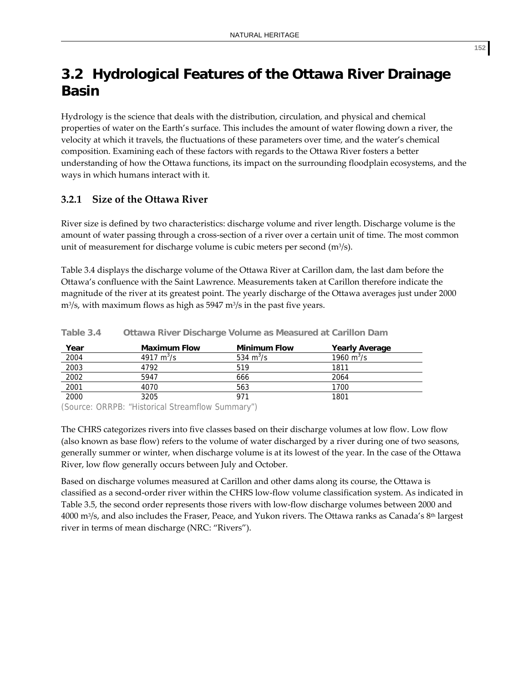# **3.2 Hydrological Features of the Ottawa River Drainage Basin**

Hydrology is the science that deals with the distribution, circulation, and physical and chemical properties of water on the Earth's surface. This includes the amount of water flowing down a river, the velocity at which it travels, the fluctuations of these parameters over time, and the water's chemical composition. Examining each of these factors with regards to the Ottawa River fosters a better understanding of how the Ottawa functions, its impact on the surrounding floodplain ecosystems, and the ways in which humans interact with it.

# **3.2.1 Size of the Ottawa River**

River size is defined by two characteristics: discharge volume and river length. Discharge volume is the amount of water passing through a cross‐section of a river over a certain unit of time. The most common unit of measurement for discharge volume is cubic meters per second (m3/s).

Table 3.4 displays the discharge volume of the Ottawa River at Carillon dam, the last dam before the Ottawa's confluence with the Saint Lawrence. Measurements taken at Carillon therefore indicate the magnitude of the river at its greatest point. The yearly discharge of the Ottawa averages just under 2000  $m^3$ /s, with maximum flows as high as 5947 m $^3$ /s in the past five years.

| <u>Year</u> | <b>Maximum Flow</b> | <b>Minimum Flow</b> | <b>Yearly Average</b>          |
|-------------|---------------------|---------------------|--------------------------------|
| 2004        | 4917 $m^3/s$        | 534 $m^3$ /s        | 1960 $\mathrm{m}^3/\mathrm{s}$ |
| 2003        | 4792                | 519                 | 1811                           |
| 2002        | 5947                | 666                 | 2064                           |
| 2001        | 4070                | 563                 | 1700                           |
| 2000        | 3205                | 971                 | 1801                           |

**Table 3.4 Ottawa River Discharge Volume as Measured at Carillon Dam** 

(Source: ORRPB: "Historical Streamflow Summary")

The CHRS categorizes rivers into five classes based on their discharge volumes at low flow. Low flow (also known as base flow) refers to the volume of water discharged by a river during one of two seasons, generally summer or winter, when discharge volume is at its lowest of the year. In the case of the Ottawa River, low flow generally occurs between July and October.

Based on discharge volumes measured at Carillon and other dams along its course, the Ottawa is classified as a second‐order river within the CHRS low‐flow volume classification system. As indicated in Table 3.5, the second order represents those rivers with low‐flow discharge volumes between 2000 and 4000 m3/s, and also includes the Fraser, Peace, and Yukon rivers. The Ottawa ranks as Canada's 8th largest river in terms of mean discharge (NRC: "Rivers").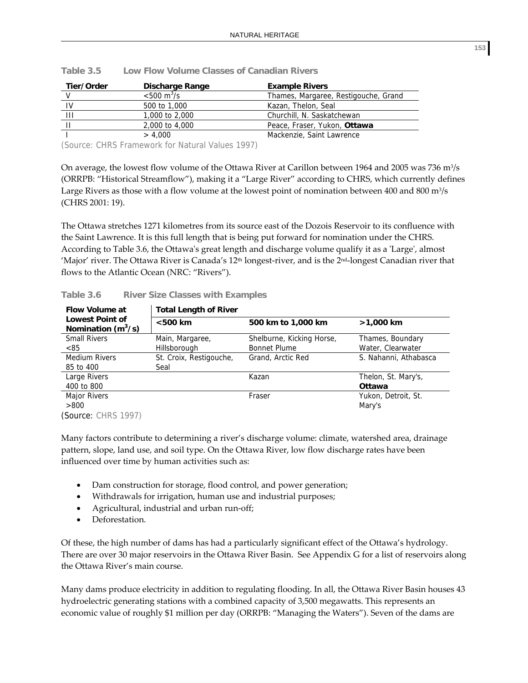| Tier/Order | Discharge Range              | <b>Example Rivers</b>                |
|------------|------------------------------|--------------------------------------|
|            | $< 500 \text{ m}^3/\text{s}$ | Thames, Margaree, Restigouche, Grand |
| IV         | 500 to 1,000                 | Kazan, Thelon, Seal                  |
| Ш          | 1,000 to 2,000               | Churchill, N. Saskatchewan           |
|            | 2,000 to 4,000               | Peace, Fraser, Yukon, Ottawa         |
|            | > 4.000                      | Mackenzie, Saint Lawrence            |

| Table 3.5 | Low Flow Volume Classes of Canadian Rivers |  |  |  |  |  |
|-----------|--------------------------------------------|--|--|--|--|--|
|-----------|--------------------------------------------|--|--|--|--|--|

(Source: CHRS Framework for Natural Values 1997)

On average, the lowest flow volume of the Ottawa River at Carillon between 1964 and 2005 was 736 m<sup>3</sup>/s (ORRPB: "Historical Streamflow"), making it a "Large River" according to CHRS, which currently defines Large Rivers as those with a flow volume at the lowest point of nomination between 400 and 800  $m\frac{3}{s}$ (CHRS 2001: 19).

The Ottawa stretches 1271 kilometres from its source east of the Dozois Reservoir to its confluence with the Saint Lawrence. It is this full length that is being put forward for nomination under the CHRS. According to Table 3.6, the Ottawa's great length and discharge volume qualify it as a 'Large', almost 'Major' river. The Ottawa River is Canada's 12<sup>th</sup> longest-river, and is the 2<sup>nd</sup>-longest Canadian river that flows to the Atlantic Ocean (NRC: "Rivers").

| <b>Flow Volume at</b>                          | <b>Total Length of River</b> |                           |                       |  |  |
|------------------------------------------------|------------------------------|---------------------------|-----------------------|--|--|
| <b>Lowest Point of</b><br>Nomination $(m^3/s)$ | $<$ 500 km                   | 500 km to 1,000 km        | >1,000 km             |  |  |
| <b>Small Rivers</b>                            | Main, Margaree,              | Shelburne, Kicking Horse, | Thames, Boundary      |  |  |
| < 85                                           | Hillsborough                 | <b>Bonnet Plume</b>       | Water, Clearwater     |  |  |
| <b>Medium Rivers</b>                           | St. Croix, Restigouche,      | Grand, Arctic Red         | S. Nahanni, Athabasca |  |  |
| 85 to 400                                      | Seal                         |                           |                       |  |  |
| Large Rivers                                   |                              | Kazan                     | Thelon, St. Mary's,   |  |  |
| 400 to 800                                     |                              |                           | <b>Ottawa</b>         |  |  |
| <b>Major Rivers</b>                            |                              | Fraser                    | Yukon, Detroit, St.   |  |  |
| >800                                           |                              |                           | Mary's                |  |  |
| (Source: CHRS 1997)                            |                              |                           |                       |  |  |

**Table 3.6 River Size Classes with Examples**

Many factors contribute to determining a river's discharge volume: climate, watershed area, drainage pattern, slope, land use, and soil type. On the Ottawa River, low flow discharge rates have been influenced over time by human activities such as:

- Dam construction for storage, flood control, and power generation;
- Withdrawals for irrigation, human use and industrial purposes;
- Agricultural, industrial and urban run-off;
- Deforestation.

Of these, the high number of dams has had a particularly significant effect of the Ottawa's hydrology. There are over 30 major reservoirs in the Ottawa River Basin. See Appendix G for a list of reservoirs along the Ottawa River's main course.

Many dams produce electricity in addition to regulating flooding. In all, the Ottawa River Basin houses 43 hydroelectric generating stations with a combined capacity of 3,500 megawatts. This represents an economic value of roughly \$1 million per day (ORRPB: "Managing the Waters"). Seven of the dams are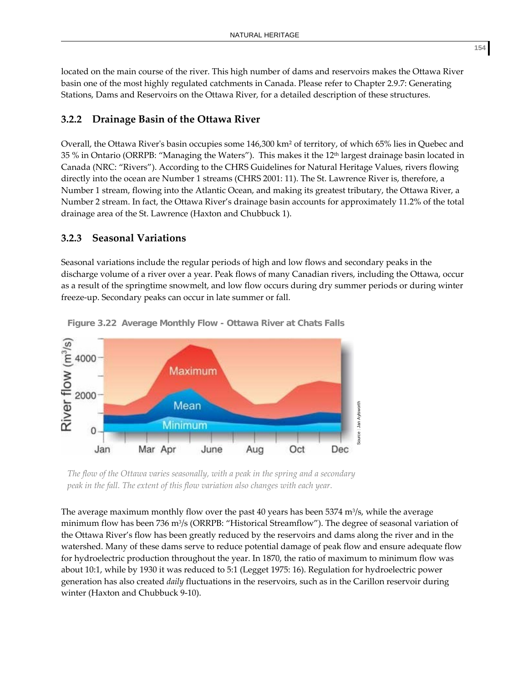located on the main course of the river. This high number of dams and reservoirs makes the Ottawa River basin one of the most highly regulated catchments in Canada. Please refer to Chapter 2.9.7: Generating Stations, Dams and Reservoirs on the Ottawa River, for a detailed description of these structures.

## **3.2.2 Drainage Basin of the Ottawa River**

Overall, the Ottawa River's basin occupies some 146,300 km<sup>2</sup> of territory, of which 65% lies in Quebec and 35 % in Ontario (ORRPB: "Managing the Waters"). This makes it the 12th largest drainage basin located in Canada (NRC: "Rivers"). According to the CHRS Guidelines for Natural Heritage Values, rivers flowing directly into the ocean are Number 1 streams (CHRS 2001: 11). The St. Lawrence River is, therefore, a Number 1 stream, flowing into the Atlantic Ocean, and making its greatest tributary, the Ottawa River, a Number 2 stream. In fact, the Ottawa River's drainage basin accounts for approximately 11.2% of the total drainage area of the St. Lawrence (Haxton and Chubbuck 1).

## **3.2.3 Seasonal Variations**

Seasonal variations include the regular periods of high and low flows and secondary peaks in the discharge volume of a river over a year. Peak flows of many Canadian rivers, including the Ottawa, occur as a result of the springtime snowmelt, and low flow occurs during dry summer periods or during winter freeze‐up. Secondary peaks can occur in late summer or fall.



**Figure 3.22 Average Monthly Flow - Ottawa River at Chats Falls**

*The flow of the Ottawa varies seasonally, with a peak in the spring and a secondary peak in the fall. The extent of this flow variation also changes with each year.*

The average maximum monthly flow over the past 40 years has been  $5374 \text{ m}^3$ /s, while the average minimum flow has been 736 m3/s (ORRPB: "Historical Streamflow"). The degree of seasonal variation of the Ottawa River's flow has been greatly reduced by the reservoirs and dams along the river and in the watershed. Many of these dams serve to reduce potential damage of peak flow and ensure adequate flow for hydroelectric production throughout the year. In 1870, the ratio of maximum to minimum flow was about 10:1, while by 1930 it was reduced to 5:1 (Legget 1975: 16). Regulation for hydroelectric power generation has also created *daily* fluctuations in the reservoirs, such as in the Carillon reservoir during winter (Haxton and Chubbuck 9‐10).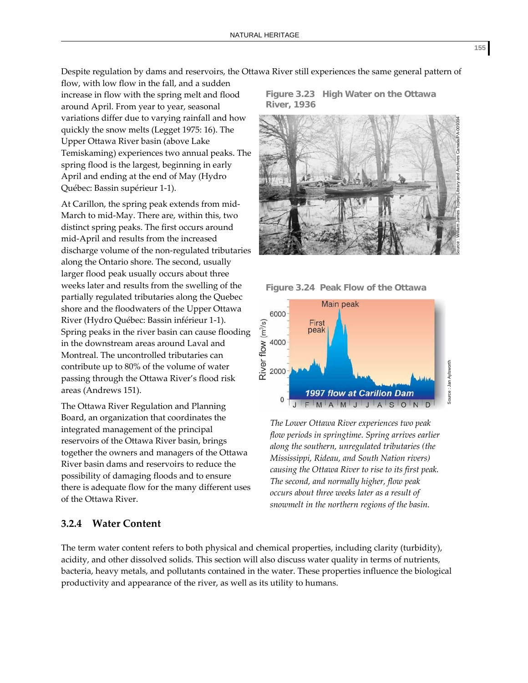Despite regulation by dams and reservoirs, the Ottawa River still experiences the same general pattern of

flow, with low flow in the fall, and a sudden increase in flow with the spring melt and flood around April. From year to year, seasonal variations differ due to varying rainfall and how quickly the snow melts (Legget 1975: 16). The Upper Ottawa River basin (above Lake Temiskaming) experiences two annual peaks. The spring flood is the largest, beginning in early April and ending at the end of May (Hydro Québec: Bassin supérieur 1‐1).

At Carillon, the spring peak extends from mid‐ March to mid‐May. There are, within this, two distinct spring peaks. The first occurs around mid‐April and results from the increased discharge volume of the non‐regulated tributaries along the Ontario shore. The second, usually larger flood peak usually occurs about three weeks later and results from the swelling of the partially regulated tributaries along the Quebec shore and the floodwaters of the Upper Ottawa River (Hydro Québec: Bassin inférieur 1‐1). Spring peaks in the river basin can cause flooding in the downstream areas around Laval and Montreal. The uncontrolled tributaries can contribute up to 80% of the volume of water passing through the Ottawa River's flood risk areas (Andrews 151).

The Ottawa River Regulation and Planning Board, an organization that coordinates the integrated management of the principal reservoirs of the Ottawa River basin, brings together the owners and managers of the Ottawa River basin dams and reservoirs to reduce the possibility of damaging floods and to ensure there is adequate flow for the many different uses of the Ottawa River.

## **3.2.4 Water Content**

**Figure 3.23 High Water on the Ottawa River, 1936**



**Figure 3.24 Peak Flow of the Ottawa** 



*The Lower Ottawa River experiences two peak flow periods in springtime. Spring arrives earlier along the southern, unregulated tributaries (the Mississippi, Rideau, and South Nation rivers) causing the Ottawa River to rise to its first peak. The second, and normally higher, flow peak occurs about three weeks later as a result of snowmelt in the northern regions of the basin.*

The term water content refers to both physical and chemical properties, including clarity (turbidity), acidity, and other dissolved solids. This section will also discuss water quality in terms of nutrients, bacteria, heavy metals, and pollutants contained in the water. These properties influence the biological productivity and appearance of the river, as well as its utility to humans.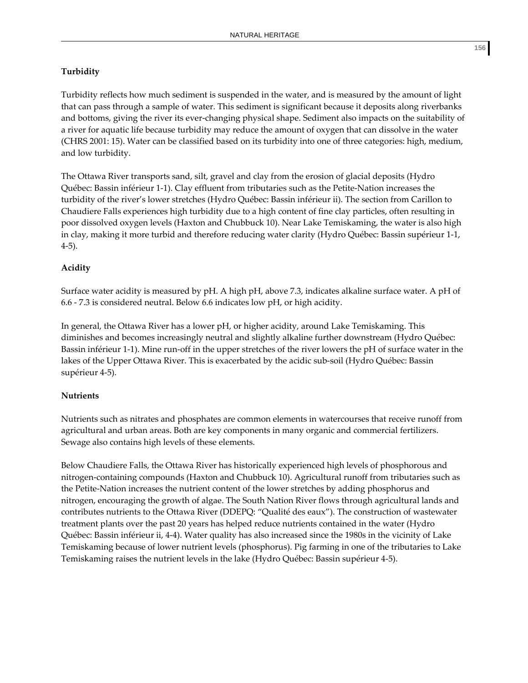#### **Turbidity**

Turbidity reflects how much sediment is suspended in the water, and is measured by the amount of light that can pass through a sample of water. This sediment is significant because it deposits along riverbanks and bottoms, giving the river its ever‐changing physical shape. Sediment also impacts on the suitability of a river for aquatic life because turbidity may reduce the amount of oxygen that can dissolve in the water (CHRS 2001: 15). Water can be classified based on its turbidity into one of three categories: high, medium, and low turbidity.

The Ottawa River transports sand, silt, gravel and clay from the erosion of glacial deposits (Hydro Québec: Bassin inférieur 1‐1). Clay effluent from tributaries such as the Petite‐Nation increases the turbidity of the river's lower stretches (Hydro Québec: Bassin inférieur ii). The section from Carillon to Chaudiere Falls experiences high turbidity due to a high content of fine clay particles, often resulting in poor dissolved oxygen levels (Haxton and Chubbuck 10). Near Lake Temiskaming, the water is also high in clay, making it more turbid and therefore reducing water clarity (Hydro Québec: Bassin supérieur 1‐1, 4‐5).

#### **Acidity**

Surface water acidity is measured by pH. A high pH, above 7.3, indicates alkaline surface water. A pH of 6.6 ‐ 7.3 is considered neutral. Below 6.6 indicates low pH, or high acidity.

In general, the Ottawa River has a lower pH, or higher acidity, around Lake Temiskaming. This diminishes and becomes increasingly neutral and slightly alkaline further downstream (Hydro Québec: Bassin inférieur 1-1). Mine run-off in the upper stretches of the river lowers the pH of surface water in the lakes of the Upper Ottawa River. This is exacerbated by the acidic sub‐soil (Hydro Québec: Bassin supérieur 4‐5).

#### **Nutrients**

Nutrients such as nitrates and phosphates are common elements in watercourses that receive runoff from agricultural and urban areas. Both are key components in many organic and commercial fertilizers. Sewage also contains high levels of these elements.

Below Chaudiere Falls, the Ottawa River has historically experienced high levels of phosphorous and nitrogen‐containing compounds (Haxton and Chubbuck 10). Agricultural runoff from tributaries such as the Petite‐Nation increases the nutrient content of the lower stretches by adding phosphorus and nitrogen, encouraging the growth of algae. The South Nation River flows through agricultural lands and contributes nutrients to the Ottawa River (DDEPQ: "Qualité des eaux"). The construction of wastewater treatment plants over the past 20 years has helped reduce nutrients contained in the water (Hydro Québec: Bassin inférieur ii, 4‐4). Water quality has also increased since the 1980s in the vicinity of Lake Temiskaming because of lower nutrient levels (phosphorus). Pig farming in one of the tributaries to Lake Temiskaming raises the nutrient levels in the lake (Hydro Québec: Bassin supérieur 4‐5).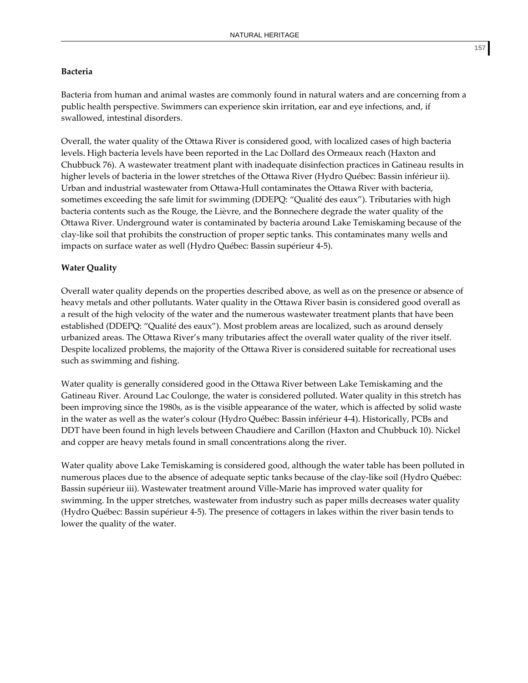#### **Bacteria**

Bacteria from human and animal wastes are commonly found in natural waters and are concerning from a public health perspective. Swimmers can experience skin irritation, ear and eye infections, and, if swallowed, intestinal disorders.

Overall, the water quality of the Ottawa River is considered good, with localized cases of high bacteria levels. High bacteria levels have been reported in the Lac Dollard des Ormeaux reach (Haxton and Chubbuck 76). A wastewater treatment plant with inadequate disinfection practices in Gatineau results in higher levels of bacteria in the lower stretches of the Ottawa River (Hydro Québec: Bassin inférieur ii). Urban and industrial wastewater from Ottawa‐Hull contaminates the Ottawa River with bacteria, sometimes exceeding the safe limit for swimming (DDEPQ: "Qualité des eaux"). Tributaries with high bacteria contents such as the Rouge, the Lièvre, and the Bonnechere degrade the water quality of the Ottawa River. Underground water is contaminated by bacteria around Lake Temiskaming because of the clay‐like soil that prohibits the construction of proper septic tanks. This contaminates many wells and impacts on surface water as well (Hydro Québec: Bassin supérieur 4‐5).

#### **Water Quality**

Overall water quality depends on the properties described above, as well as on the presence or absence of heavy metals and other pollutants. Water quality in the Ottawa River basin is considered good overall as a result of the high velocity of the water and the numerous wastewater treatment plants that have been established (DDEPQ: "Qualité des eaux"). Most problem areas are localized, such as around densely urbanized areas. The Ottawa River's many tributaries affect the overall water quality of the river itself. Despite localized problems, the majority of the Ottawa River is considered suitable for recreational uses such as swimming and fishing.

Water quality is generally considered good in the Ottawa River between Lake Temiskaming and the Gatineau River. Around Lac Coulonge, the water is considered polluted. Water quality in this stretch has been improving since the 1980s, as is the visible appearance of the water, which is affected by solid waste in the water as well as the water's colour (Hydro Québec: Bassin inférieur 4‐4). Historically, PCBs and DDT have been found in high levels between Chaudiere and Carillon (Haxton and Chubbuck 10). Nickel and copper are heavy metals found in small concentrations along the river.

Water quality above Lake Temiskaming is considered good, although the water table has been polluted in numerous places due to the absence of adequate septic tanks because of the clay-like soil (Hydro Québec: Bassin supérieur iii). Wastewater treatment around Ville‐Marie has improved water quality for swimming. In the upper stretches, wastewater from industry such as paper mills decreases water quality (Hydro Québec: Bassin supérieur 4‐5). The presence of cottagers in lakes within the river basin tends to lower the quality of the water.